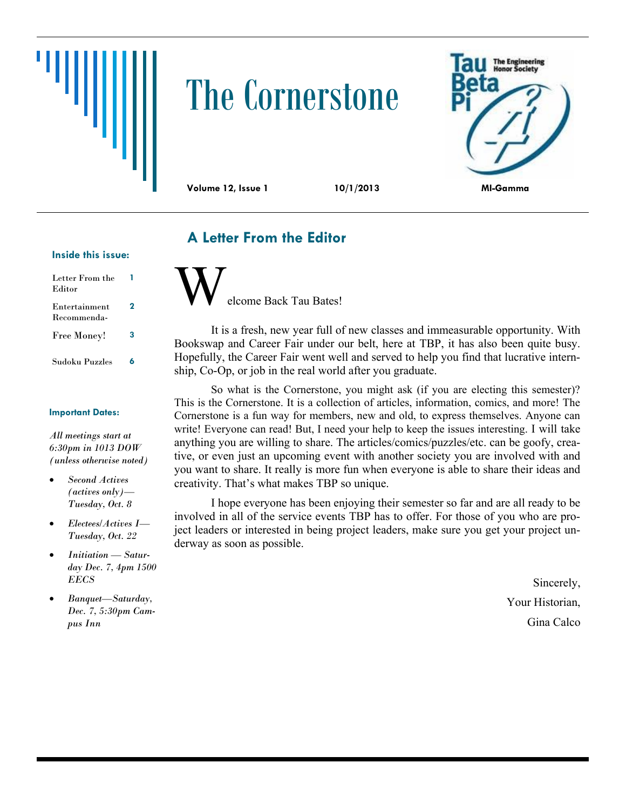# The Cornerstone



## **A Letter From the Editor**

#### **Inside this issue:**

| Letter From the<br>Editor    |   |
|------------------------------|---|
| Entertainment<br>Recommenda- | 2 |
| <b>Free Money!</b>           | 3 |
| Sudoku Puzzles               | 6 |

#### **Important Dates:**

*All meetings start at 6:30pm in 1013 DOW (unless otherwise noted)*

- *Second Actives (actives only)— Tuesday, Oct. 8*
- *Electees/Actives I— Tuesday, Oct. 22*
- *Initiation — Saturday Dec. 7, 4pm 1500 EECS*
- *Banquet—Saturday, Dec. 7, 5:30pm Campus Inn*

elcome Back Tau Bates!

It is a fresh, new year full of new classes and immeasurable opportunity. With Bookswap and Career Fair under our belt, here at TBP, it has also been quite busy. Hopefully, the Career Fair went well and served to help you find that lucrative internship, Co-Op, or job in the real world after you graduate.

So what is the Cornerstone, you might ask (if you are electing this semester)? This is the Cornerstone. It is a collection of articles, information, comics, and more! The Cornerstone is a fun way for members, new and old, to express themselves. Anyone can write! Everyone can read! But, I need your help to keep the issues interesting. I will take anything you are willing to share. The articles/comics/puzzles/etc. can be goofy, creative, or even just an upcoming event with another society you are involved with and you want to share. It really is more fun when everyone is able to share their ideas and creativity. That's what makes TBP so unique.

I hope everyone has been enjoying their semester so far and are all ready to be involved in all of the service events TBP has to offer. For those of you who are project leaders or interested in being project leaders, make sure you get your project underway as soon as possible.

> Sincerely, Your Historian, Gina Calco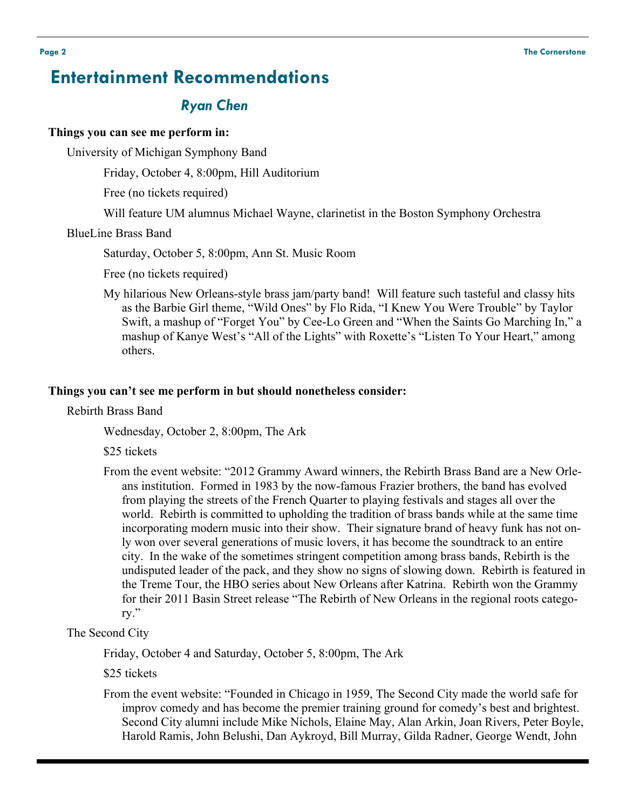## **Entertainment Recommendations**

## *Ryan Chen*

#### **Things you can see me perform in:**

University of Michigan Symphony Band

Friday, October 4, 8:00pm, Hill Auditorium

Free (no tickets required)

Will feature UM alumnus Michael Wayne, clarinetist in the Boston Symphony Orchestra

#### BlueLine Brass Band

Saturday, October 5, 8:00pm, Ann St. Music Room

Free (no tickets required)

My hilarious New Orleans-style brass jam/party band! Will feature such tasteful and classy hits as the Barbie Girl theme, "Wild Ones" by Flo Rida, "I Knew You Were Trouble" by Taylor Swift, a mashup of "Forget You" by Cee-Lo Green and "When the Saints Go Marching In," a mashup of Kanye West's "All of the Lights" with Roxette's "Listen To Your Heart," among others.

#### **Things you can't see me perform in but should nonetheless consider:**

Rebirth Brass Band

Wednesday, October 2, 8:00pm, The Ark

\$25 tickets

From the event website: "2012 Grammy Award winners, the Rebirth Brass Band are a New Orleans institution. Formed in 1983 by the now-famous Frazier brothers, the band has evolved from playing the streets of the French Quarter to playing festivals and stages all over the world. Rebirth is committed to upholding the tradition of brass bands while at the same time incorporating modern music into their show. Their signature brand of heavy funk has not only won over several generations of music lovers, it has become the soundtrack to an entire city. In the wake of the sometimes stringent competition among brass bands, Rebirth is the undisputed leader of the pack, and they show no signs of slowing down. Rebirth is featured in the Treme Tour, the HBO series about New Orleans after Katrina. Rebirth won the Grammy for their 2011 Basin Street release "The Rebirth of New Orleans in the regional roots category."

#### The Second City

Friday, October 4 and Saturday, October 5, 8:00pm, The Ark

\$25 tickets

From the event website: "Founded in Chicago in 1959, The Second City made the world safe for improv comedy and has become the premier training ground for comedy's best and brightest. Second City alumni include Mike Nichols, Elaine May, Alan Arkin, Joan Rivers, Peter Boyle, Harold Ramis, John Belushi, Dan Aykroyd, Bill Murray, Gilda Radner, George Wendt, John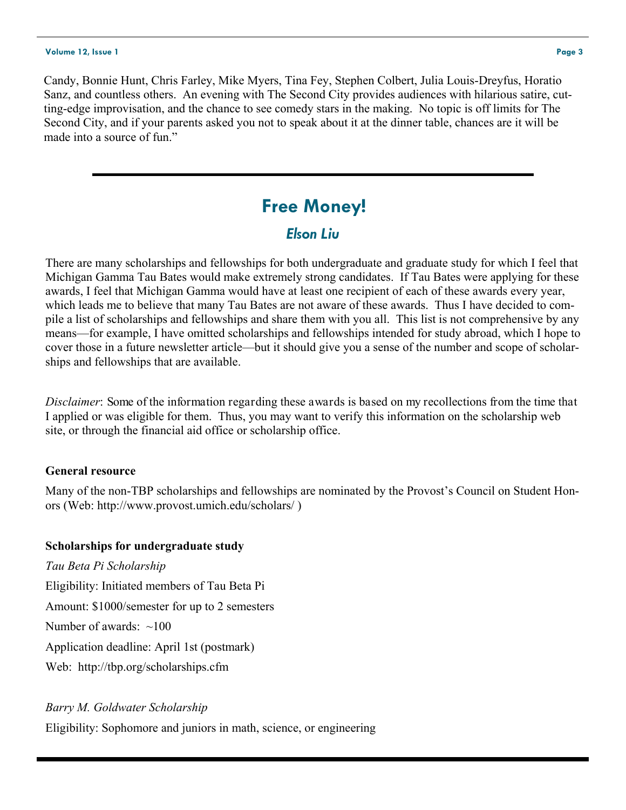#### **Volume 12, Issue 1 Page 3**

## **Free Money!**

## *Elson Liu*

There are many scholarships and fellowships for both undergraduate and graduate study for which I feel that Michigan Gamma Tau Bates would make extremely strong candidates. If Tau Bates were applying for these awards, I feel that Michigan Gamma would have at least one recipient of each of these awards every year, which leads me to believe that many Tau Bates are not aware of these awards. Thus I have decided to compile a list of scholarships and fellowships and share them with you all. This list is not comprehensive by any means—for example, I have omitted scholarships and fellowships intended for study abroad, which I hope to cover those in a future newsletter article—but it should give you a sense of the number and scope of scholarships and fellowships that are available.

*Disclaimer*: Some of the information regarding these awards is based on my recollections from the time that I applied or was eligible for them. Thus, you may want to verify this information on the scholarship web site, or through the financial aid office or scholarship office.

## **General resource**

Many of the non-TBP scholarships and fellowships are nominated by the Provost's Council on Student Honors (Web: http://www.provost.umich.edu/scholars/ )

## **Scholarships for undergraduate study**

*Tau Beta Pi Scholarship* Eligibility: Initiated members of Tau Beta Pi Amount: \$1000/semester for up to 2 semesters Number of awards:  $\sim 100$ Application deadline: April 1st (postmark) Web: http://tbp.org/scholarships.cfm

## *Barry M. Goldwater Scholarship*

Eligibility: Sophomore and juniors in math, science, or engineering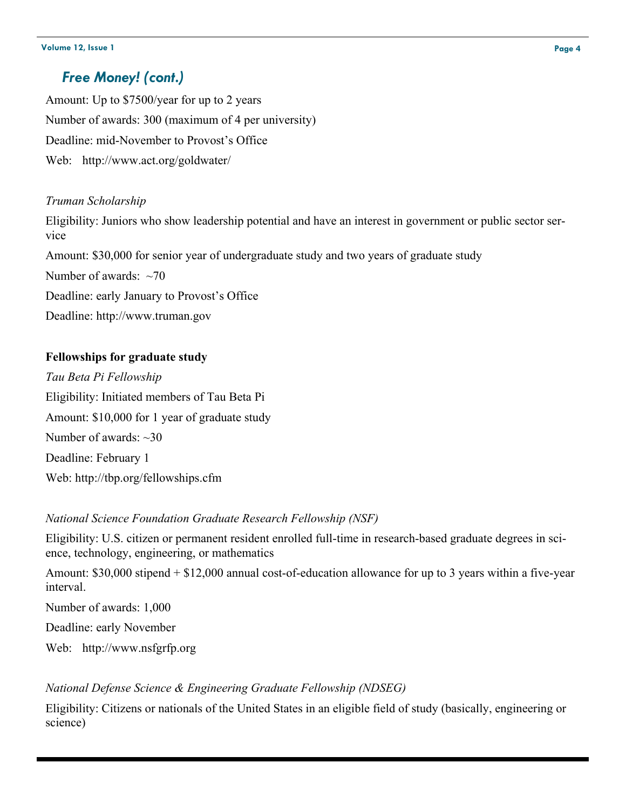## *Free Money! (cont.)*

Amount: Up to \$7500/year for up to 2 years Number of awards: 300 (maximum of 4 per university) Deadline: mid-November to Provost's Office Web: http://www.act.org/goldwater/

## *Truman Scholarship*

Eligibility: Juniors who show leadership potential and have an interest in government or public sector service Amount: \$30,000 for senior year of undergraduate study and two years of graduate study Number of awards:  $~1$ Deadline: early January to Provost's Office Deadline: http://www.truman.gov

## **Fellowships for graduate study**

*Tau Beta Pi Fellowship* Eligibility: Initiated members of Tau Beta Pi Amount: \$10,000 for 1 year of graduate study Number of awards: ~30 Deadline: February 1 Web: http://tbp.org/fellowships.cfm

## *National Science Foundation Graduate Research Fellowship (NSF)*

Eligibility: U.S. citizen or permanent resident enrolled full-time in research-based graduate degrees in science, technology, engineering, or mathematics

Amount: \$30,000 stipend + \$12,000 annual cost-of-education allowance for up to 3 years within a five-year interval.

Number of awards: 1,000

Deadline: early November

Web: http://www.nsfgrfp.org

## *National Defense Science & Engineering Graduate Fellowship (NDSEG)*

Eligibility: Citizens or nationals of the United States in an eligible field of study (basically, engineering or science)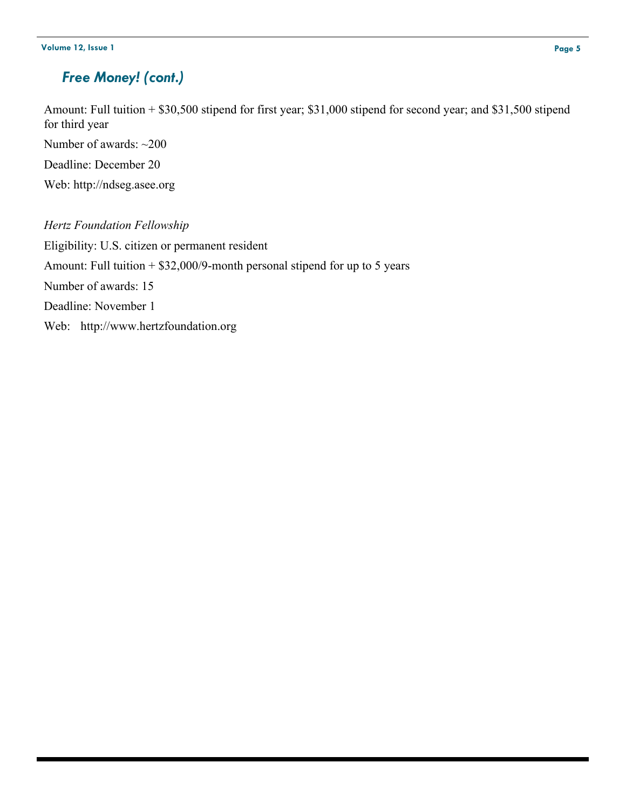## *Free Money! (cont.)*

Amount: Full tuition + \$30,500 stipend for first year; \$31,000 stipend for second year; and \$31,500 stipend for third year

Number of awards: ~200

Deadline: December 20

Web: http://ndseg.asee.org

*Hertz Foundation Fellowship* Eligibility: U.S. citizen or permanent resident Amount: Full tuition  $+$  \$32,000/9-month personal stipend for up to 5 years Number of awards: 15 Deadline: November 1 Web: http://www.hertzfoundation.org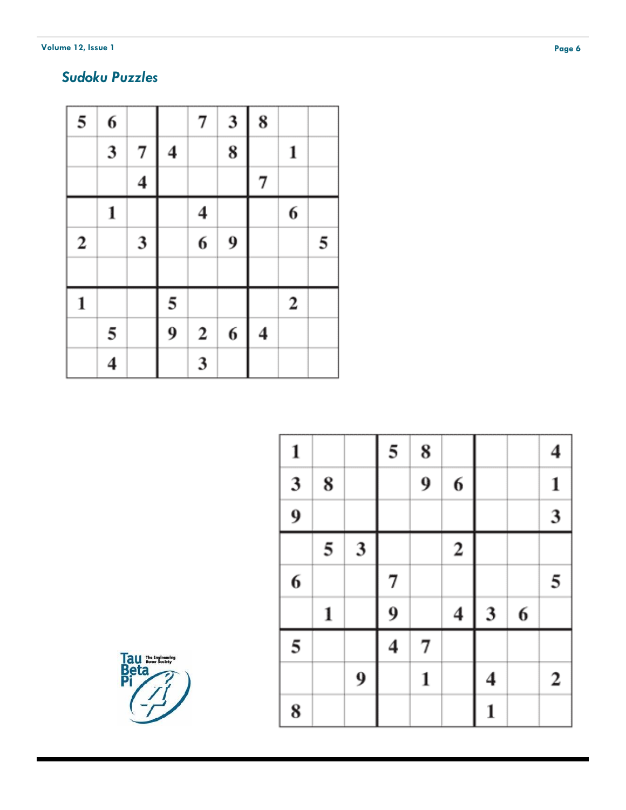**Volume 12, Issue 1** 

## *Sudoku Puzzles*

| 5            | 6                       |                         |   | 7                | 3 | 8                       |             |   |
|--------------|-------------------------|-------------------------|---|------------------|---|-------------------------|-------------|---|
|              | $\overline{\mathbf{3}}$ | 7                       | 4 |                  | 8 |                         | 1           |   |
|              |                         | $\overline{\mathbf{4}}$ |   |                  |   | $\overline{\mathbf{7}}$ |             |   |
|              | 1                       |                         |   | 4                |   |                         | 6           |   |
| $\mathbf 2$  |                         | 3                       |   | 6                | 9 |                         |             | 5 |
|              |                         |                         |   |                  |   |                         |             |   |
| $\mathbf{1}$ |                         |                         | 5 |                  |   |                         | $\mathbf 2$ |   |
|              | 5                       |                         | 9 | $\boldsymbol{2}$ | 6 | $\overline{\mathbf{4}}$ |             |   |
|              | 4                       |                         |   | 3                |   |                         |             |   |

| $\mathbf{1}$            |   |                         | 5 | 8 |                         |   |   | 4            |
|-------------------------|---|-------------------------|---|---|-------------------------|---|---|--------------|
| $\overline{\mathbf{3}}$ | 8 |                         |   | 9 | 6                       |   |   | $\mathbf{1}$ |
| $\overline{9}$          |   |                         |   |   |                         |   |   | 3            |
|                         | 5 | $\overline{\mathbf{3}}$ |   |   | $\overline{\mathbf{c}}$ |   |   |              |
| 6                       |   |                         | 7 |   |                         |   |   | 5            |
|                         | 1 |                         | 9 |   | 4                       | 3 | 6 |              |
| 5                       |   |                         | 4 | 7 |                         |   |   |              |
|                         |   | 9                       |   | 1 |                         | 4 |   | $\mathbf{2}$ |
|                         |   |                         |   |   |                         |   |   |              |